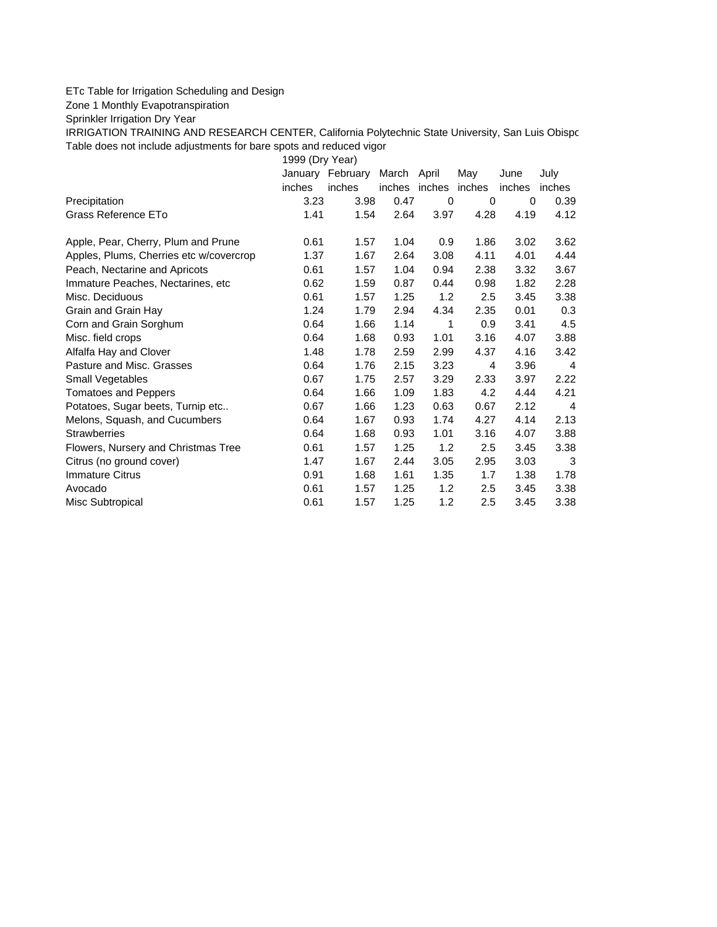## ETc Table for Irrigation Scheduling and Design

Zone 1 Monthly Evapotranspiration

Sprinkler Irrigation Dry Year

IRRIGATION TRAINING AND RESEARCH CENTER, California Polytechnic State University, San Luis Obispo Table does not include adjustments for bare spots and reduced vigor

1999 (Dry Year)

|                                         | January | February | March April   |      | May    | June   | July   |
|-----------------------------------------|---------|----------|---------------|------|--------|--------|--------|
|                                         | inches  | inches   | inches inches |      | inches | inches | inches |
| Precipitation                           | 3.23    | 3.98     | 0.47          | 0    | 0      | 0      | 0.39   |
| Grass Reference ETo                     | 1.41    | 1.54     | 2.64          | 3.97 | 4.28   | 4.19   | 4.12   |
| Apple, Pear, Cherry, Plum and Prune     | 0.61    | 1.57     | 1.04          | 0.9  | 1.86   | 3.02   | 3.62   |
| Apples, Plums, Cherries etc w/covercrop | 1.37    | 1.67     | 2.64          | 3.08 | 4.11   | 4.01   | 4.44   |
| Peach, Nectarine and Apricots           | 0.61    | 1.57     | 1.04          | 0.94 | 2.38   | 3.32   | 3.67   |
| Immature Peaches, Nectarines, etc.      | 0.62    | 1.59     | 0.87          | 0.44 | 0.98   | 1.82   | 2.28   |
| Misc. Deciduous                         | 0.61    | 1.57     | 1.25          | 1.2  | 2.5    | 3.45   | 3.38   |
| Grain and Grain Hay                     | 1.24    | 1.79     | 2.94          | 4.34 | 2.35   | 0.01   | 0.3    |
| Corn and Grain Sorghum                  | 0.64    | 1.66     | 1.14          | 1    | 0.9    | 3.41   | 4.5    |
| Misc. field crops                       | 0.64    | 1.68     | 0.93          | 1.01 | 3.16   | 4.07   | 3.88   |
| Alfalfa Hay and Clover                  | 1.48    | 1.78     | 2.59          | 2.99 | 4.37   | 4.16   | 3.42   |
| Pasture and Misc. Grasses               | 0.64    | 1.76     | 2.15          | 3.23 | 4      | 3.96   | 4      |
| Small Vegetables                        | 0.67    | 1.75     | 2.57          | 3.29 | 2.33   | 3.97   | 2.22   |
| <b>Tomatoes and Peppers</b>             | 0.64    | 1.66     | 1.09          | 1.83 | 4.2    | 4.44   | 4.21   |
| Potatoes, Sugar beets, Turnip etc       | 0.67    | 1.66     | 1.23          | 0.63 | 0.67   | 2.12   | 4      |
| Melons, Squash, and Cucumbers           | 0.64    | 1.67     | 0.93          | 1.74 | 4.27   | 4.14   | 2.13   |
| <b>Strawberries</b>                     | 0.64    | 1.68     | 0.93          | 1.01 | 3.16   | 4.07   | 3.88   |
| Flowers, Nursery and Christmas Tree     | 0.61    | 1.57     | 1.25          | 1.2  | 2.5    | 3.45   | 3.38   |
| Citrus (no ground cover)                | 1.47    | 1.67     | 2.44          | 3.05 | 2.95   | 3.03   | 3      |
| <b>Immature Citrus</b>                  | 0.91    | 1.68     | 1.61          | 1.35 | 1.7    | 1.38   | 1.78   |
| Avocado                                 | 0.61    | 1.57     | 1.25          | 1.2  | 2.5    | 3.45   | 3.38   |
| Misc Subtropical                        | 0.61    | 1.57     | 1.25          | 1.2  | 2.5    | 3.45   | 3.38   |